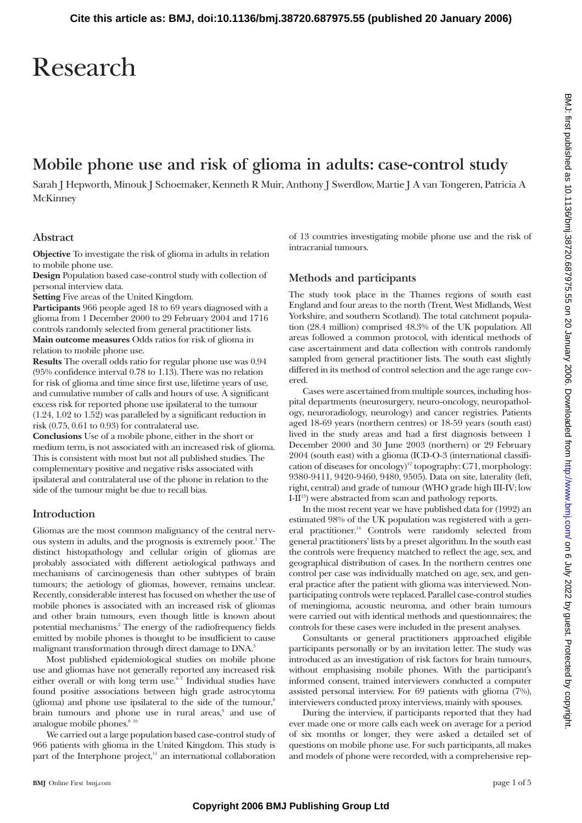# Research

# **Mobile phone use and risk of glioma in adults: case-control study**

Sarah J Hepworth, Minouk J Schoemaker, Kenneth R Muir, Anthony J Swerdlow, Martie J A van Tongeren, Patricia A **McKinney** 

# **Abstract**

**Objective** To investigate the risk of glioma in adults in relation to mobile phone use.

**Design** Population based case-control study with collection of personal interview data.

**Setting** Five areas of the United Kingdom.

**Participants** 966 people aged 18 to 69 years diagnosed with a glioma from 1 December 2000 to 29 February 2004 and 1716 controls randomly selected from general practitioner lists. **Main outcome measures** Odds ratios for risk of glioma in relation to mobile phone use.

**Results** The overall odds ratio for regular phone use was 0.94 (95% confidence interval 0.78 to 1.13). There was no relation for risk of glioma and time since first use, lifetime years of use, and cumulative number of calls and hours of use. A significant excess risk for reported phone use ipsilateral to the tumour (1.24, 1.02 to 1.52) was paralleled by a significant reduction in risk (0.75, 0.61 to 0.93) for contralateral use.

**Conclusions** Use of a mobile phone, either in the short or medium term, is not associated with an increased risk of glioma. This is consistent with most but not all published studies. The complementary positive and negative risks associated with ipsilateral and contralateral use of the phone in relation to the side of the tumour might be due to recall bias.

# **Introduction**

Gliomas are the most common malignancy of the central nervous system in adults, and the prognosis is extremely poor.<sup>1</sup> The distinct histopathology and cellular origin of gliomas are probably associated with different aetiological pathways and mechanisms of carcinogenesis than other subtypes of brain tumours; the aetiology of gliomas, however, remains unclear. Recently, considerable interest has focused on whether the use of mobile phones is associated with an increased risk of gliomas and other brain tumours, even though little is known about potential mechanisms.2 The energy of the radiofrequency fields emitted by mobile phones is thought to be insufficient to cause malignant transformation through direct damage to DNA.<sup>3</sup>

Most published epidemiological studies on mobile phone use and gliomas have not generally reported any increased risk either overall or with long term use.<sup>4-7</sup> Individual studies have found positive associations between high grade astrocytoma (glioma) and phone use ipsilateral to the side of the tumour,<sup>8</sup> brain tumours and phone use in rural areas,<sup>9</sup> and use of analogue mobile phones. $810$ 

We carried out a large population based case-control study of 966 patients with glioma in the United Kingdom. This study is part of the Interphone project,<sup>11</sup> an international collaboration

of 13 countries investigating mobile phone use and the risk of intracranial tumours.

# **Methods and participants**

The study took place in the Thames regions of south east England and four areas to the north (Trent, West Midlands, West Yorkshire, and southern Scotland). The total catchment population (28.4 million) comprised 48.3% of the UK population. All areas followed a common protocol, with identical methods of case ascertainment and data collection with controls randomly sampled from general practitioner lists. The south east slightly differed in its method of control selection and the age range covered.

Cases were ascertained from multiple sources, including hospital departments (neurosurgery, neuro-oncology, neuropathology, neuroradiology, neurology) and cancer registries. Patients aged 18-69 years (northern centres) or 18-59 years (south east) lived in the study areas and had a first diagnosis between 1 December 2000 and 30 June 2003 (northern) or 29 February 2004 (south east) with a glioma (ICD-O-3 (international classification of diseases for oncology)<sup>12</sup> topography: C71, morphology: 9380-9411, 9420-9460, 9480, 9505). Data on site, laterality (left, right, central) and grade of tumour (WHO grade high III-IV; low  $I-I<sup>13</sup>$ ) were abstracted from scan and pathology reports.

In the most recent year we have published data for (1992) an estimated 98% of the UK population was registered with a general practitioner.14 Controls were randomly selected from general practitioners' lists by a preset algorithm. In the south east the controls were frequency matched to reflect the age, sex, and geographical distribution of cases. In the northern centres one control per case was individually matched on age, sex, and general practice after the patient with glioma was interviewed. Nonparticipating controls were replaced. Parallel case-control studies of meningioma, acoustic neuroma, and other brain tumours were carried out with identical methods and questionnaires; the controls for these cases were included in the present analyses.

Consultants or general practitioners approached eligible participants personally or by an invitation letter. The study was introduced as an investigation of risk factors for brain tumours, without emphasising mobile phones. With the participant's informed consent, trained interviewers conducted a computer assisted personal interview. For 69 patients with glioma (7%), interviewers conducted proxy interviews, mainly with spouses.

During the interview, if participants reported that they had ever made one or more calls each week on average for a period of six months or longer, they were asked a detailed set of questions on mobile phone use. For such participants, all makes and models of phone were recorded, with a comprehensive rep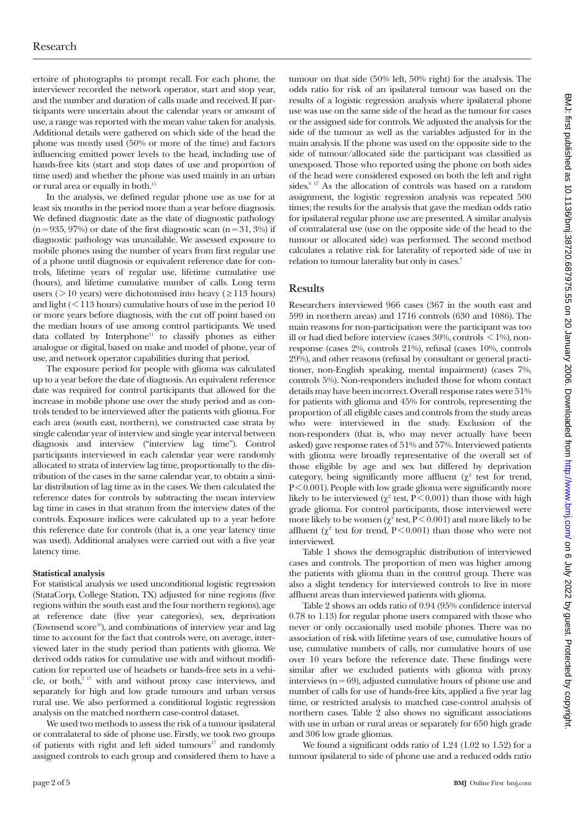ertoire of photographs to prompt recall. For each phone, the interviewer recorded the network operator, start and stop year, and the number and duration of calls made and received. If participants were uncertain about the calendar years or amount of use, a range was reported with the mean value taken for analysis. Additional details were gathered on which side of the head the phone was mostly used (50% or more of the time) and factors influencing emitted power levels to the head, including use of hands-free kits (start and stop dates of use and proportion of time used) and whether the phone was used mainly in an urban or rural area or equally in both.<sup>15</sup>

In the analysis, we defined regular phone use as use for at least six months in the period more than a year before diagnosis. We defined diagnostic date as the date of diagnostic pathology  $(n = 935, 97%)$  or date of the first diagnostic scan  $(n = 31, 3%)$  if diagnostic pathology was unavailable. We assessed exposure to mobile phones using the number of years from first regular use of a phone until diagnosis or equivalent reference date for controls, lifetime years of regular use, lifetime cumulative use (hours), and lifetime cumulative number of calls. Long term users ( $>$ 10 years) were dichotomised into heavy ( $\ge$  113 hours) and light  $(< 113$  hours) cumulative hours of use in the period 10 or more years before diagnosis, with the cut off point based on the median hours of use among control participants. We used data collated by Interphone<sup>11</sup> to classify phones as either analogue or digital, based on make and model of phone, year of use, and network operator capabilities during that period.

The exposure period for people with glioma was calculated up to a year before the date of diagnosis. An equivalent reference date was required for control participants that allowed for the increase in mobile phone use over the study period and as controls tended to be interviewed after the patients with glioma. For each area (south east, northern), we constructed case strata by single calendar year of interview and single year interval between diagnosis and interview ("interview lag time"). Control participants interviewed in each calendar year were randomly allocated to strata of interview lag time, proportionally to the distribution of the cases in the same calendar year, to obtain a similar distribution of lag time as in the cases. We then calculated the reference dates for controls by subtracting the mean interview lag time in cases in that stratum from the interview dates of the controls. Exposure indices were calculated up to a year before this reference date for controls (that is, a one year latency time was used). Additional analyses were carried out with a five year latency time.

#### **Statistical analysis**

For statistical analysis we used unconditional logistic regression (StataCorp, College Station, TX) adjusted for nine regions (five regions within the south east and the four northern regions), age at reference date (five year categories), sex, deprivation (Townsend score<sup>16</sup>), and combinations of interview year and lag time to account for the fact that controls were, on average, interviewed later in the study period than patients with glioma. We derived odds ratios for cumulative use with and without modification for reported use of headsets or hands-free sets in a vehicle, or both, $7^{17}$  with and without proxy case interviews, and separately for high and low grade tumours and urban versus rural use. We also performed a conditional logistic regression analysis on the matched northern case-control dataset.

We used two methods to assess the risk of a tumour ipsilateral or contralateral to side of phone use. Firstly, we took two groups of patients with right and left sided tumours<sup>17</sup> and randomly assigned controls to each group and considered them to have a

tumour on that side (50% left, 50% right) for the analysis. The odds ratio for risk of an ipsilateral tumour was based on the results of a logistic regression analysis where ipsilateral phone use was use on the same side of the head as the tumour for cases or the assigned side for controls. We adjusted the analysis for the side of the tumour as well as the variables adjusted for in the main analysis. If the phone was used on the opposite side to the side of tumour/allocated side the participant was classified as unexposed. Those who reported using the phone on both sides of the head were considered exposed on both the left and right sides.<sup>6 17</sup> As the allocation of controls was based on a random assignment, the logistic regression analysis was repeated 500 times; the results for the analysis that gave the median odds ratio for ipsilateral regular phone use are presented. A similar analysis of contralateral use (use on the opposite side of the head to the tumour or allocated side) was performed. The second method calculates a relative risk for laterality of reported side of use in relation to tumour laterality but only in cases.<sup>4</sup>

# **Results**

Researchers interviewed 966 cases (367 in the south east and 599 in northern areas) and 1716 controls (630 and 1086). The main reasons for non-participation were the participant was too ill or had died before interview (cases  $30\%$ , controls  $\leq 1\%$ ), nonresponse (cases 2%, controls 21%), refusal (cases 10%, controls 29%), and other reasons (refusal by consultant or general practitioner, non-English speaking, mental impairment) (cases 7%, controls 5%). Non-responders included those for whom contact details may have been incorrect. Overall response rates were 51% for patients with glioma and 45% for controls, representing the proportion of all eligible cases and controls from the study areas who were interviewed in the study. Exclusion of the non-responders (that is, who may never actually have been asked) gave response rates of 51% and 57%. Interviewed patients with glioma were broadly representative of the overall set of those eligible by age and sex but differed by deprivation category, being significantly more affluent  $(\chi^2)$  test for trend,  $P \leq 0.001$ ). People with low grade glioma were significantly more likely to be interviewed ( $\chi^2$  test, P < 0.001) than those with high grade glioma. For control participants, those interviewed were more likely to be women ( $\chi^2$  test, P < 0.001) and more likely to be affluent  $(\chi^2)$  test for trend, P < 0.001) than those who were not interviewed.

Table 1 shows the demographic distribution of interviewed cases and controls. The proportion of men was higher among the patients with glioma than in the control group. There was also a slight tendency for interviewed controls to live in more affluent areas than interviewed patients with glioma.

Table 2 shows an odds ratio of 0.94 (95% confidence interval 0.78 to 1.13) for regular phone users compared with those who never or only occasionally used mobile phones. There was no association of risk with lifetime years of use, cumulative hours of use, cumulative numbers of calls, nor cumulative hours of use over 10 years before the reference date. These findings were similar after we excluded patients with glioma with proxy interviews  $(n = 69)$ , adjusted cumulative hours of phone use and number of calls for use of hands-free kits, applied a five year lag time, or restricted analysis to matched case-control analysis of northern cases. Table 2 also shows no significant associations with use in urban or rural areas or separately for 650 high grade and 306 low grade gliomas.

We found a significant odds ratio of 1.24 (1.02 to 1.52) for a tumour ipsilateral to side of phone use and a reduced odds ratio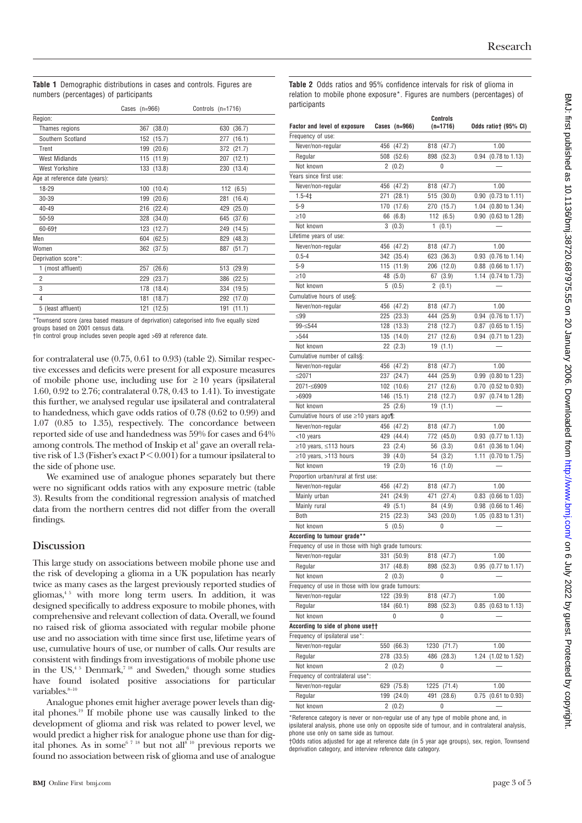**Table 1** Demographic distributions in cases and controls. Figures are numbers (percentages) of participants

|                                | Cases (n=966) |            | Controls (n=1716) |            |
|--------------------------------|---------------|------------|-------------------|------------|
| Region:                        |               |            |                   |            |
| Thames regions                 | 367           | (38.0)     |                   | 630 (36.7) |
| Southern Scotland              |               | 152 (15.7) |                   | 277 (16.1) |
| Trent                          |               | 199 (20.6) |                   | 372 (21.7) |
| <b>West Midlands</b>           |               | 115 (11.9) |                   | 207 (12.1) |
| West Yorkshire                 |               | 133 (13.8) |                   | 230 (13.4) |
| Age at reference date (years): |               |            |                   |            |
| 18-29                          |               | 100(10.4)  |                   | 112(6.5)   |
| 30-39                          |               | 199 (20.6) | 281               | (16.4)     |
| $40 - 49$                      |               | 216 (22.4) |                   | 429 (25.0) |
| 50-59                          |               | 328 (34.0) |                   | 645 (37.6) |
| 60-69+                         |               | 123 (12.7) |                   | 249 (14.5) |
| Men                            |               | 604 (62.5) |                   | 829 (48.3) |
| Women                          |               | 362 (37.5) |                   | 887 (51.7) |
| Deprivation score*:            |               |            |                   |            |
| 1 (most affluent)              | 257           | (26.6)     |                   | 513 (29.9) |
| $\overline{2}$                 |               | 229 (23.7) |                   | 386 (22.5) |
| 3                              | 178           | (18.4)     |                   | 334 (19.5) |
| 4                              | 181           | (18.7)     |                   | 292 (17.0) |
| 5 (least affluent)             | 121           | (12.5)     |                   | 191 (11.1) |

\*Townsend score (area based measure of deprivation) categorised into five equally sized groups based on 2001 census data.

†In control group includes seven people aged >69 at reference date.

for contralateral use (0.75, 0.61 to 0.93) (table 2). Similar respective excesses and deficits were present for all exposure measures of mobile phone use, including use for  $\geq 10$  years (ipsilateral 1.60, 0.92 to 2.76; contralateral 0.78, 0.43 to 1.41). To investigate this further, we analysed regular use ipsilateral and contralateral to handedness, which gave odds ratios of 0.78 (0.62 to 0.99) and 1.07 (0.85 to 1.35), respectively. The concordance between reported side of use and handedness was 59% for cases and 64% among controls. The method of Inskip et al<sup>4</sup> gave an overall relative risk of 1.3 (Fisher's exact P < 0.001) for a tumour ipsilateral to the side of phone use.

We examined use of analogue phones separately but there were no significant odds ratios with any exposure metric (table 3). Results from the conditional regression analysis of matched data from the northern centres did not differ from the overall findings.

#### **Discussion**

This large study on associations between mobile phone use and the risk of developing a glioma in a UK population has nearly twice as many cases as the largest previously reported studies of gliomas,4 5 with more long term users. In addition, it was designed specifically to address exposure to mobile phones, with comprehensive and relevant collection of data. Overall, we found no raised risk of glioma associated with regular mobile phone use and no association with time since first use, lifetime years of use, cumulative hours of use, or number of calls. Our results are consistent with findings from investigations of mobile phone use in the US, $45$  Denmark,<sup>718</sup> and Sweden, $6$  though some studies have found isolated positive associations for particular variables. $8-10$ 

Analogue phones emit higher average power levels than digital phones.19 If mobile phone use was causally linked to the development of glioma and risk was related to power level, we would predict a higher risk for analogue phone use than for digital phones. As in some  $67 18$  but not all  $810$  previous reports we found no association between risk of glioma and use of analogue

**Table 2** Odds ratios and 95% confidence intervals for risk of glioma in relation to mobile phone exposure\*. Figures are numbers (percentages) of participants

|                                                    |     |               | Controls      |      |                                  |
|----------------------------------------------------|-----|---------------|---------------|------|----------------------------------|
| <b>Factor and level of exposure</b>                |     | Cases (n=966) | (n=1716)      |      | Odds ratio† (95% CI)             |
| Frequency of use:                                  |     |               |               |      |                                  |
| Never/non-regular                                  |     | 456 (47.2)    | 818 (47.7)    |      | 1.00                             |
| Regular                                            | 508 | (52.6)        | 898 (52.3)    |      | 0.94 (0.78 to 1.13)              |
| Not known                                          |     | 2(0.2)        | 0             |      |                                  |
| Years since first use:                             |     |               |               |      |                                  |
| Never/non-regular                                  |     | 456 (47.2)    | 818 (47.7)    |      | 1.00                             |
| $1.5 - 41$                                         | 271 | (28.1)        | 515 (30.0)    |      | 0.90 (0.73 to 1.11)              |
| $5 - 9$                                            | 170 | (17.6)        | 270 (15.7)    | 1.04 | $(0.80 \text{ to } 1.34)$        |
| $\geq 10$                                          |     | 66 (6.8)      | 112(6.5)      |      | 0.90 (0.63 to 1.28)              |
| Not known                                          |     | 3(0.3)        | 1(0.1)        |      |                                  |
| Lifetime years of use:                             |     |               |               |      |                                  |
| Never/non-regular                                  |     | 456 (47.2)    | 818<br>(47.7) |      | 1.00                             |
| $0.5 - 4$                                          |     | 342 (35.4)    | 623 (36.3)    |      | 0.93 (0.76 to 1.14)              |
| $5 - 9$                                            |     | 115 (11.9)    | 206 (12.0)    |      | $0.88$ $(0.66 \text{ to } 1.17)$ |
| $\geq 10$                                          | 48  | (5.0)         | 67 (3.9)      | 1.14 | $(0.74 \text{ to } 1.73)$        |
| Not known                                          |     | 5(0.5)        | 2(0.1)        |      |                                  |
| Cumulative hours of use§:                          |     |               |               |      |                                  |
| Never/non-regular                                  |     | 456 (47.2)    | 818 (47.7)    |      | 1.00                             |
| $\leq 99$                                          |     | 225 (23.3)    | 444 (25.9)    |      | 0.94 (0.76 to 1.17)              |
| 99-<544                                            |     | 128 (13.3)    | 218 (12.7)    | 0.87 | $(0.65 \text{ to } 1.15)$        |
| >544                                               |     | 135 (14.0)    | 217 (12.6)    | 0.94 | $(0.71$ to 1.23)                 |
| Not known                                          |     |               |               |      |                                  |
| Cumulative number of calls§:                       |     | 22 (2.3)      | 19<br>(1.1)   |      |                                  |
|                                                    |     |               |               |      | 1.00                             |
| Never/non-regular                                  |     | 456 (47.2)    | 818 (47.7)    |      |                                  |
| ≤2071                                              |     | 237 (24.7)    | 444 (25.9)    | 0.99 | $(0.80 \text{ to } 1.23)$        |
| 2071-<6909                                         |     | 102 (10.6)    | 217 (12.6)    |      | $0.70$ $(0.52 \text{ to } 0.93)$ |
| >6909                                              |     | 146 (15.1)    | 218 (12.7)    | 0.97 | $(0.74 \text{ to } 1.28)$        |
| Not known                                          |     | 25 (2.6)      | 19<br>(1.1)   |      |                                  |
| Cumulative hours of use $\geq$ 10 years ago¶:      |     |               |               |      |                                  |
| Never/non-regular                                  |     | 456 (47.2)    | 818 (47.7)    |      | 1.00                             |
| <10 years                                          |     | 429 (44.4)    | 772 (45.0)    |      | 0.93 (0.77 to 1.13)              |
| ≥10 years, $≤113$ hours                            |     | 23 (2.4)      | 56 (3.3)      | 0.61 | $(0.36 \text{ to } 1.04)$        |
| ≥10 years, >113 hours                              |     | 39(4.0)       | 54 (3.2)      | 1.11 | $(0.70 \text{ to } 1.75)$        |
| Not known                                          |     | 19(2.0)       | (1.0)<br>16   |      |                                  |
| Proportion urban/rural at first use:               |     |               |               |      |                                  |
| Never/non-regular                                  |     | 456 (47.2)    | 818 (47.7)    |      | 1.00                             |
| Mainly urban                                       | 241 | (24.9)        | 471 (27.4)    |      | 0.83 (0.66 to 1.03)              |
| Mainly rural                                       |     | 49 (5.1)      | 84 (4.9)      |      | 0.98 (0.66 to 1.46)              |
| <b>Both</b>                                        | 215 | (22.3)        | 343<br>(20.0) | 1.05 | $(0.83 \text{ to } 1.31)$        |
| Not known                                          | 5   | (0.5)         | 0             |      |                                  |
| According to tumour grade**                        |     |               |               |      |                                  |
| Frequency of use in those with high grade tumours: |     |               |               |      |                                  |
| Never/non-regular                                  |     | 331 (50.9)    | 818 (47.7)    |      | 1.00                             |
| Regular                                            |     | 317 (48.8)    | 898 (52.3)    | 0.95 | $(0.77 \text{ to } 1.17)$        |
| Not known                                          | 2   | (0.3)         | 0             |      |                                  |
| Frequency of use in those with low grade tumours:  |     |               |               |      |                                  |
| Never/non-regular                                  |     | 122 (39.9)    | 818 (47.7)    |      | 1.00                             |
| Regular                                            |     | 184 (60.1)    | 898 (52.3)    | 0.85 | $(0.63 \text{ to } 1.13)$        |
| Not known                                          |     | 0             | 0             |      |                                  |
| According to side of phone usett                   |     |               |               |      |                                  |
| Frequency of ipsilateral use*:                     |     |               |               |      |                                  |
| Never/non-regular                                  |     | 550 (66.3)    | 1230 (71.7)   |      | 1.00                             |
| Regular                                            |     | 278 (33.5)    | 486 (28.3)    | 1.24 | $(1.02 \text{ to } 1.52)$        |
| Not known                                          |     | 2(0.2)        | 0             |      |                                  |
| Frequency of contralateral use*:                   |     |               |               |      |                                  |
| Never/non-regular                                  |     | 629 (75.8)    | 1225 (71.4)   |      | 1.00                             |
| Regular                                            |     | 199 (24.0)    | 491 (28.6)    | 0.75 | $(0.61 \text{ to } 0.93)$        |
| Not known                                          |     | 2(0.2)        | 0             |      |                                  |
|                                                    |     |               |               |      |                                  |

\*Reference category is never or non-regular use of any type of mobile phone and, in ipsilateral analysis, phone use only on opposite side of tumour, and in contralateral analysis, phone use only on same side as tumour.

†Odds ratios adjusted for age at reference date (in 5 year age groups), sex, region, Townsend deprivation category, and interview reference date category.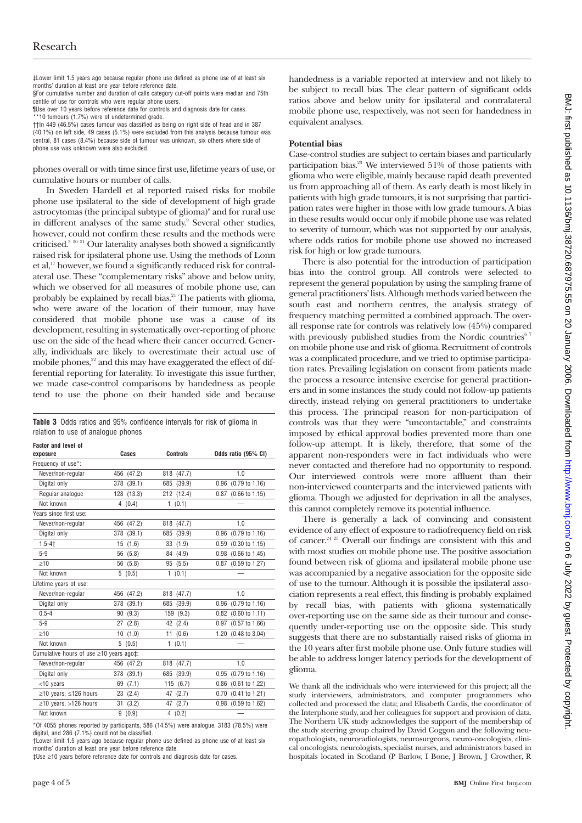‡Lower limit 1.5 years ago because regular phone use defined as phone use of at least six months' duration at least one year before reference date.

§For cumulative number and duration of calls category cut-off points were median and 75th centile of use for controls who were regular phone users.

¶Use over 10 years before reference date for controls and diagnosis date for cases.

\*\*10 tumours (1.7%) were of undetermined grade.

††In 449 (46.5%) cases tumour was classified as being on right side of head and in 387 (40.1%) on left side, 49 cases (5.1%) were excluded from this analysis because tumour was central, 81 cases (8.4%) because side of tumour was unknown, six others where side of phone use was unknown were also excluded.

phones overall or with time since first use, lifetime years of use, or cumulative hours or number of calls.

In Sweden Hardell et al reported raised risks for mobile phone use ipsilateral to the side of development of high grade astrocytomas (the principal subtype of glioma)<sup>8</sup> and for rural use in different analyses of the same study.<sup>9</sup> Several other studies, however, could not confirm these results and the methods were criticised.3 20 21 Our laterality analyses both showed a significantly raised risk for ipsilateral phone use. Using the methods of Lonn et al,17 however, we found a significantly reduced risk for contralateral use. These "complementary risks" above and below unity, which we observed for all measures of mobile phone use, can probably be explained by recall bias.<sup>21</sup> The patients with glioma, who were aware of the location of their tumour, may have considered that mobile phone use was a cause of its development, resulting in systematically over-reporting of phone use on the side of the head where their cancer occurred. Generally, individuals are likely to overestimate their actual use of mobile phones,<sup>22</sup> and this may have exaggerated the effect of differential reporting for laterality. To investigate this issue further, we made case-control comparisons by handedness as people tend to use the phone on their handed side and because

**Table 3** Odds ratios and 95% confidence intervals for risk of glioma in relation to use of analogue phones

| <b>Factor and level of</b>                               |               |                 |                                   |  |  |  |  |
|----------------------------------------------------------|---------------|-----------------|-----------------------------------|--|--|--|--|
| exposure                                                 | Cases         | <b>Controls</b> | Odds ratio (95% CI)               |  |  |  |  |
| Frequency of use*:                                       |               |                 |                                   |  |  |  |  |
| Never/non-regular                                        | 456 (47.2)    | 818 (47.7)      | 1.0                               |  |  |  |  |
| Digital only                                             | (39.1)<br>378 | 685<br>(39.9)   | 0.96<br>$(0.79 \text{ to } 1.16)$ |  |  |  |  |
| Regular analogue                                         | 128 (13.3)    | 212 (12.4)      | $(0.66 \text{ to } 1.15)$<br>0.87 |  |  |  |  |
| Not known                                                | 4(0.4)        | 1(0.1)          |                                   |  |  |  |  |
| Years since first use:                                   |               |                 |                                   |  |  |  |  |
| Never/non-regular                                        | 456 (47.2)    | (47.7)<br>818   | 1.0                               |  |  |  |  |
| Digital only                                             | 378<br>(39.1) | 685<br>(39.9)   | 0.96 (0.79 to 1.16)               |  |  |  |  |
| $1.5 - 4 +$                                              | (1.6)<br>15   | (1.9)<br>33     | $(0.30 \text{ to } 1.15)$<br>0.59 |  |  |  |  |
| $5 - 9$                                                  | 56<br>(5.8)   | 84<br>(4.9)     | 0.98 (0.66 to 1.45)               |  |  |  |  |
| $\geq 10$                                                | (5.8)<br>56   | (5.5)<br>95     | 0.87 (0.59 to 1.27)               |  |  |  |  |
| Not known                                                | (0.5)<br>5    | 1.<br>(0.1)     |                                   |  |  |  |  |
| Lifetime years of use:                                   |               |                 |                                   |  |  |  |  |
| Never/non-regular                                        | 456 (47.2)    | 818<br>(47.7)   | 1.0                               |  |  |  |  |
| Digital only                                             | 378<br>(39.1) | 685<br>(39.9)   | 0.96 (0.79 to 1.16)               |  |  |  |  |
| $0.5 - 4$                                                | (9.3)<br>90   | 159<br>(9.3)    | $(0.60 \text{ to } 1.11)$<br>0.82 |  |  |  |  |
| $5-9$                                                    | 27(2.8)       | 42<br>(2.4)     | 0.97 (0.57 to 1.66)               |  |  |  |  |
| $\geq 10$                                                | 10(1.0)       | 11<br>(0.6)     | 1.20 (0.48 to 3.04)               |  |  |  |  |
| Not known                                                | (0.5)<br>5    | (0.1)<br>1      |                                   |  |  |  |  |
| Cumulative hours of use $\geq$ 10 years ago $\ddagger$ : |               |                 |                                   |  |  |  |  |
| Never/non-regular                                        | 456 (47.2)    | 818<br>(47.7)   | 1.0                               |  |  |  |  |
| Digital only                                             | 378<br>(39.1) | 685<br>(39.9)   | $0.95$ $(0.79 \text{ to } 1.16)$  |  |  |  |  |
| <10 years                                                | (7.1)<br>69   | 115<br>(6.7)    | (0.61 to 1.22)<br>0.86            |  |  |  |  |
| ≥10 years, $≤126$ hours                                  | (2.4)<br>23   | 47<br>(2.7)     | 0.70 (0.41 to 1.21)               |  |  |  |  |
| $\geq$ 10 years, $>$ 126 hours                           | 31<br>(3.2)   | (2.7)<br>47     | 0.98 (0.59 to 1.62)               |  |  |  |  |
| Not known                                                | (0.9)<br>9    | (0.2)<br>4      |                                   |  |  |  |  |

\*Of 4055 phones reported by participants, 586 (14.5%) were analogue, 3183 (78.5%) were digital, and 286 (7.1%) could not be classified.

†Lower limit 1.5 years ago because regular phone use defined as phone use of at least six months' duration at least one year before reference date.

‡Use ≥10 years before reference date for controls and diagnosis date for cases.

handedness is a variable reported at interview and not likely to be subject to recall bias. The clear pattern of significant odds ratios above and below unity for ipsilateral and contralateral mobile phone use, respectively, was not seen for handedness in equivalent analyses.

#### **Potential bias**

Case-control studies are subject to certain biases and particularly participation bias.<sup>23</sup> We interviewed 51% of those patients with glioma who were eligible, mainly because rapid death prevented us from approaching all of them. As early death is most likely in patients with high grade tumours, it is not surprising that participation rates were higher in those with low grade tumours. A bias in these results would occur only if mobile phone use was related to severity of tumour, which was not supported by our analysis, where odds ratios for mobile phone use showed no increased risk for high or low grade tumours.

There is also potential for the introduction of participation bias into the control group. All controls were selected to represent the general population by using the sampling frame of general practitioners' lists. Although methods varied between the south east and northern centres, the analysis strategy of frequency matching permitted a combined approach. The overall response rate for controls was relatively low (45%) compared with previously published studies from the Nordic countries $67$ on mobile phone use and risk of glioma. Recruitment of controls was a complicated procedure, and we tried to optimise participation rates. Prevailing legislation on consent from patients made the process a resource intensive exercise for general practitioners and in some instances the study could not follow-up patients directly, instead relying on general practitioners to undertake this process. The principal reason for non-participation of controls was that they were "uncontactable," and constraints imposed by ethical approval bodies prevented more than one follow-up attempt. It is likely, therefore, that some of the apparent non-responders were in fact individuals who were never contacted and therefore had no opportunity to respond. Our interviewed controls were more affluent than their non-interviewed counterparts and the interviewed patients with glioma. Though we adjusted for deprivation in all the analyses, this cannot completely remove its potential influence.

There is generally a lack of convincing and consistent evidence of any effect of exposure to radiofrequency field on risk of cancer.24 25 Overall our findings are consistent with this and with most studies on mobile phone use. The positive association found between risk of glioma and ipsilateral mobile phone use was accompanied by a negative association for the opposite side of use to the tumour. Although it is possible the ipsilateral association represents a real effect, this finding is probably explained by recall bias, with patients with glioma systematically over-reporting use on the same side as their tumour and consequently under-reporting use on the opposite side. This study suggests that there are no substantially raised risks of glioma in the 10 years after first mobile phone use. Only future studies will be able to address longer latency periods for the development of glioma.

We thank all the individuals who were interviewed for this project; all the study interviewers, administrators, and computer programmers who collected and processed the data; and Elisabeth Cardis, the coordinator of the Interphone study, and her colleagues for support and provision of data. The Northern UK study acknowledges the support of the membership of the study steering group chaired by David Coggon and the following neuropathologists, neuroradiologists, neurosurgeons, neuro-oncologists, clinical oncologists, neurologists, specialist nurses, and administrators based in hospitals located in Scotland (P Barlow, I Bone, J Brown, J Crowther, R